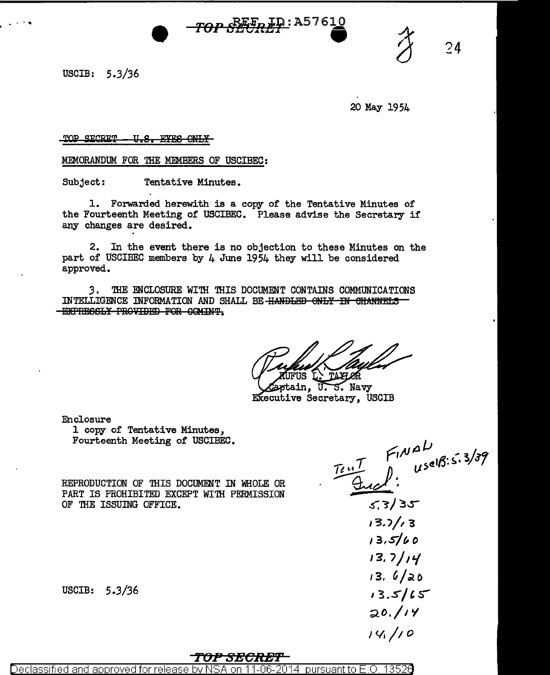**ID:A5761<u>0</u>** 

USCIB:  $5.3/36$ 

20 May 1954

 $74$ 

TOP SECRET U.S. EYES ONLY

MEMORANDUM FOR THE MEMBERS OF USCIBEC:

Subject: Tentative Minutes.

1. Forwarded herewith is a copy of the Tentative Minutes of the Fourteenth Meeting of USCIBEC. Please advise the Secretary if any changes are desired.

2. In the event there is no objection to these Minutes on the part of USCIBEC members by 4 June 1954 they will be considered approved.

3. THE ENCLOSURE WITH THIS DOCUMENT CONTAINS COMMUNICATIONS INTELLIGENCE INFORMATION AND SHALL BE HANDLED ONLY IN CHANNELS -EXPRESSLY PROVIDED FOR COMINT.

TAXF OR

ptain, U.S. Navy Executive Secretary, USCIB

Enclosure

1 copy of Tentative Minutes, Fourteenth Meeting of USCIBEC.

REPRODUCTION OF THIS DOCUMENT IN WHOLE OR PART IS PROHIBITED EXCEPT WITH PERMISSION OF THE ISSUING OFFICE.

USCIB:  $5.3/36$ 

 $\frac{T_{e}T_{e}}{A}$   $\int_{0}^{F_{1}N}\frac{\partial L}{\partial s^{e}}$ 

 $5.3/35$  $13.7/13$  $13.5/60$  $13.7/14$  $13.6/20$  $13.5/15$  $20.114$  $14/10$ 

## TOP SEGRET

Declassified and approved for release pursuant to E.O. 13526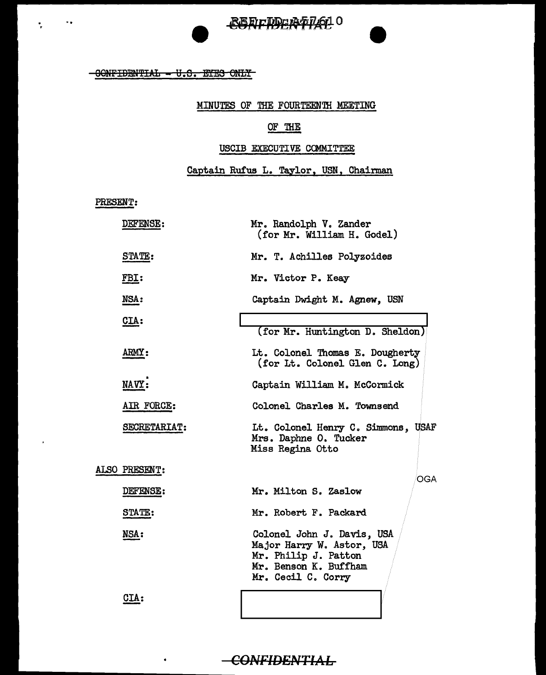## -GONFIDENTIAL - U.S. EYES ONLY

## MINUTES OF THE FOURTEEN'IH MEETING

REFILIDER-P14610

## OF THE

#### USCIB EXECUTIVE COMMITTEE

# Captain Rufus L. Taylor, USN, Chairman

PRESENT:

. '

 $\bullet$ 

 $\ddot{\phantom{a}}$ 

| <b>DEFENSE:</b> | Mr. Randolph V. Zander<br>(for Mr. William H. Godel)                                                                           |
|-----------------|--------------------------------------------------------------------------------------------------------------------------------|
| STATE:          | Mr. T. Achilles Polyzoides                                                                                                     |
| <u>FBI:</u>     | Mr. Victor P. Keay                                                                                                             |
| NSA:            | Captain Dwight M. Agnew, USN                                                                                                   |
| $CLA$ :         | (for Mr. Huntington D. Sheldon)                                                                                                |
| ARMY:           | Lt. Colonel Thomas E. Dougherty<br>(for Lt. Colonel Glen C. Long)                                                              |
| NAVY:           | Captain William M. McCormick                                                                                                   |
| AIR FORCE:      | Colonel Charles M. Townsend                                                                                                    |
| SECRETARIAT:    | Lt. Colonel Henry C. Simmons, USAF<br>Mrs. Daphne O. Tucker<br>Miss Regina Otto                                                |
| ALSO PRESENT:   | <b>OGA</b>                                                                                                                     |
| DEFENSE:        | Mr. Milton S. Zaslow                                                                                                           |
| STATE:          | Mr. Robert F. Packard                                                                                                          |
| NSA:            | Colonel John J. Davis, USA<br>Major Harry W. Astor, USA<br>Mr. Philip J. Patton<br>Mr. Benson K. Buffham<br>Mr. Cecil C. Corry |
| <b>CIA:</b>     |                                                                                                                                |

 $\epsilon$ ONFIDENTIAL

 $\bullet$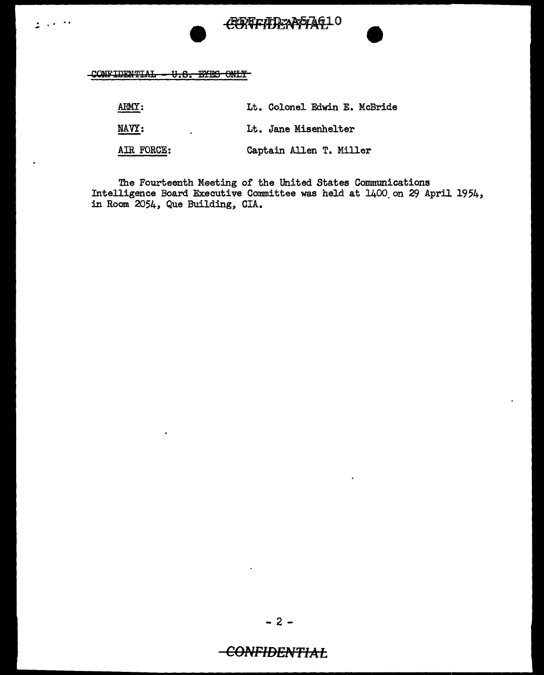

CONFIDENTIAL - U.S. EYES ONLY

 $\sim$  $\sim$ ÷.

| ARMY:      | Lt. Colonel Edwin E. McBride |
|------------|------------------------------|
| NAVY:      | Lt. Jane Misenhelter         |
| AIR FORCE: | Captain Allen T. Miller      |

The Fourteenth Meeting of the United States Communications<br>Intelligence Board Executive Committee was held at  $1400$  on 29 April 1954, in Room 2054, Que Building, CIA.

# -CONFIDENTIAL